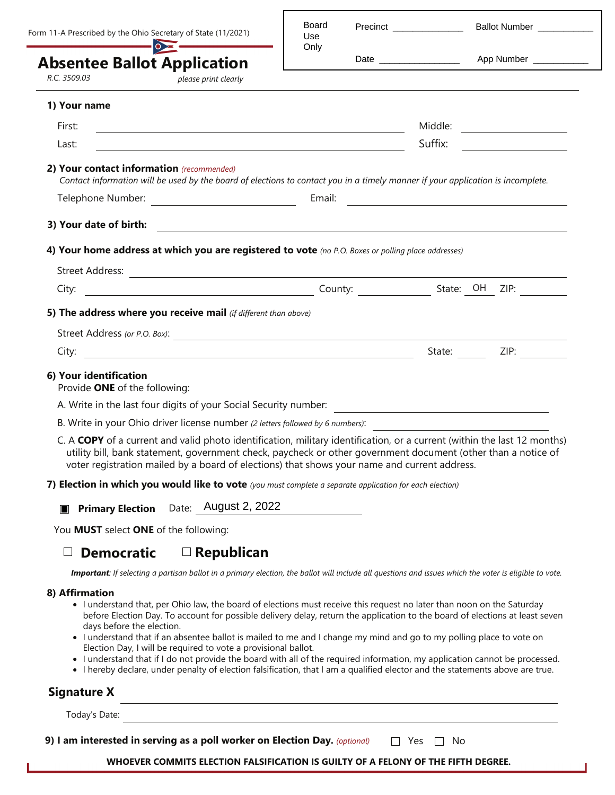|                                                         | Form 11-A Prescribed by the Ohio Secretary of State (11/2021)<br>$\overline{\bullet}$                                                                                                                                                                                                                                                     | Board<br>Use<br>Only | Precinct Precinct        | Ballot Number ___________ |                                |
|---------------------------------------------------------|-------------------------------------------------------------------------------------------------------------------------------------------------------------------------------------------------------------------------------------------------------------------------------------------------------------------------------------------|----------------------|--------------------------|---------------------------|--------------------------------|
|                                                         | <b>Absentee Ballot Application</b>                                                                                                                                                                                                                                                                                                        |                      | Date ___________________ |                           | App Number ____________        |
| R.C. 3509.03                                            | please print clearly                                                                                                                                                                                                                                                                                                                      |                      |                          |                           |                                |
| 1) Your name                                            |                                                                                                                                                                                                                                                                                                                                           |                      |                          |                           |                                |
| First:                                                  | the control of the control of the control of the control of the control of the control of                                                                                                                                                                                                                                                 |                      |                          |                           | Middle: ______________________ |
| Last:                                                   |                                                                                                                                                                                                                                                                                                                                           |                      |                          |                           | Suffix:                        |
|                                                         | Contact information will be used by the board of elections to contact you in a timely manner if your application is incomplete.                                                                                                                                                                                                           |                      |                          |                           |                                |
|                                                         |                                                                                                                                                                                                                                                                                                                                           |                      |                          |                           |                                |
| 3) Your date of birth:                                  |                                                                                                                                                                                                                                                                                                                                           |                      |                          |                           |                                |
|                                                         | 4) Your home address at which you are registered to vote (no P.O. Boxes or polling place addresses)                                                                                                                                                                                                                                       |                      |                          |                           |                                |
|                                                         |                                                                                                                                                                                                                                                                                                                                           |                      |                          |                           |                                |
|                                                         |                                                                                                                                                                                                                                                                                                                                           |                      |                          |                           |                                |
|                                                         | 5) The address where you receive mail (if different than above)                                                                                                                                                                                                                                                                           |                      |                          |                           |                                |
|                                                         |                                                                                                                                                                                                                                                                                                                                           |                      |                          |                           |                                |
|                                                         |                                                                                                                                                                                                                                                                                                                                           |                      |                          |                           |                                |
| 6) Your identification<br>Provide ONE of the following: |                                                                                                                                                                                                                                                                                                                                           |                      |                          |                           |                                |
|                                                         | A. Write in the last four digits of your Social Security number:                                                                                                                                                                                                                                                                          |                      |                          |                           |                                |
|                                                         | B. Write in your Ohio driver license number (2 letters followed by 6 numbers):                                                                                                                                                                                                                                                            |                      |                          |                           |                                |
|                                                         | C. A COPY of a current and valid photo identification, military identification, or a current (within the last 12 months)<br>utility bill, bank statement, government check, paycheck or other government document (other than a notice of<br>voter registration mailed by a board of elections) that shows your name and current address. |                      |                          |                           |                                |
|                                                         |                                                                                                                                                                                                                                                                                                                                           |                      |                          |                           |                                |

**7) Election in which you would like to vote** *(you must complete a separate application for each election)*

**Primary Election** Date: August 2, 2022

You **MUST** select **ONE** of the following:

## **Democratic Republican**

*Important: If selecting a partisan ballot in a primary election, the ballot will include all questions and issues which the voter is eligible to vote.* 

## **8) Affirmation**

- I understand that, per Ohio law, the board of elections must receive this request no later than noon on the Saturday before Election Day. To account for possible delivery delay, return the application to the board of elections at least seven days before the election.
- I understand that if an absentee ballot is mailed to me and I change my mind and go to my polling place to vote on Election Day, I will be required to vote a provisional ballot.
- I understand that if I do not provide the board with all of the required information, my application cannot be processed.
- I hereby declare, under penalty of election falsification, that I am a qualified elector and the statements above are true.

## **Signature X**

Today's Date:

**9) I am interested in serving as a poll worker on Election Day.** *(optional)*  $\Box$  Yes  $\Box$  No

**WHOEVER COMMITS ELECTION FALSIFICATION IS GUILTY OF A FELONY OF THE FIFTH DEGREE.**